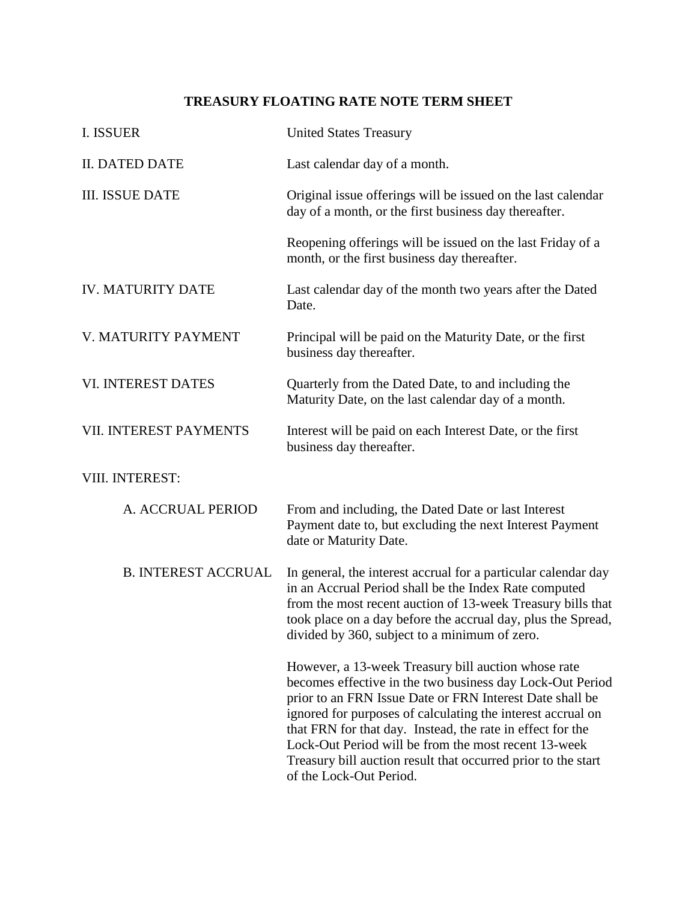## **TREASURY FLOATING RATE NOTE TERM SHEET**

| <b>I. ISSUER</b>           | <b>United States Treasury</b>                                                                                                                                                                                                                                                                                                                                                                                                                                 |
|----------------------------|---------------------------------------------------------------------------------------------------------------------------------------------------------------------------------------------------------------------------------------------------------------------------------------------------------------------------------------------------------------------------------------------------------------------------------------------------------------|
| <b>II. DATED DATE</b>      | Last calendar day of a month.                                                                                                                                                                                                                                                                                                                                                                                                                                 |
| <b>III. ISSUE DATE</b>     | Original issue offerings will be issued on the last calendar<br>day of a month, or the first business day thereafter.                                                                                                                                                                                                                                                                                                                                         |
|                            | Reopening offerings will be issued on the last Friday of a<br>month, or the first business day thereafter.                                                                                                                                                                                                                                                                                                                                                    |
| <b>IV. MATURITY DATE</b>   | Last calendar day of the month two years after the Dated<br>Date.                                                                                                                                                                                                                                                                                                                                                                                             |
| V. MATURITY PAYMENT        | Principal will be paid on the Maturity Date, or the first<br>business day thereafter.                                                                                                                                                                                                                                                                                                                                                                         |
| <b>VI. INTEREST DATES</b>  | Quarterly from the Dated Date, to and including the<br>Maturity Date, on the last calendar day of a month.                                                                                                                                                                                                                                                                                                                                                    |
| VII. INTEREST PAYMENTS     | Interest will be paid on each Interest Date, or the first<br>business day thereafter.                                                                                                                                                                                                                                                                                                                                                                         |
| VIII. INTEREST:            |                                                                                                                                                                                                                                                                                                                                                                                                                                                               |
| A. ACCRUAL PERIOD          | From and including, the Dated Date or last Interest<br>Payment date to, but excluding the next Interest Payment<br>date or Maturity Date.                                                                                                                                                                                                                                                                                                                     |
| <b>B. INTEREST ACCRUAL</b> | In general, the interest accrual for a particular calendar day<br>in an Accrual Period shall be the Index Rate computed<br>from the most recent auction of 13-week Treasury bills that<br>took place on a day before the accrual day, plus the Spread,<br>divided by 360, subject to a minimum of zero.                                                                                                                                                       |
|                            | However, a 13-week Treasury bill auction whose rate<br>becomes effective in the two business day Lock-Out Period<br>prior to an FRN Issue Date or FRN Interest Date shall be<br>ignored for purposes of calculating the interest accrual on<br>that FRN for that day. Instead, the rate in effect for the<br>Lock-Out Period will be from the most recent 13-week<br>Treasury bill auction result that occurred prior to the start<br>of the Lock-Out Period. |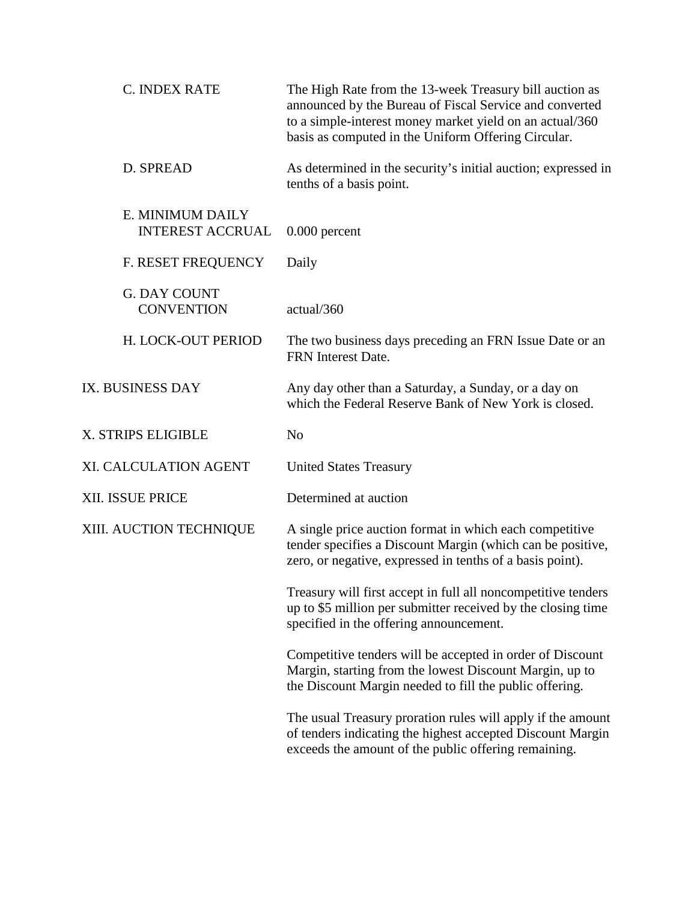| C. INDEX RATE                               | The High Rate from the 13-week Treasury bill auction as<br>announced by the Bureau of Fiscal Service and converted<br>to a simple-interest money market yield on an actual/360<br>basis as computed in the Uniform Offering Circular. |
|---------------------------------------------|---------------------------------------------------------------------------------------------------------------------------------------------------------------------------------------------------------------------------------------|
| D. SPREAD                                   | As determined in the security's initial auction; expressed in<br>tenths of a basis point.                                                                                                                                             |
| E. MINIMUM DAILY<br><b>INTEREST ACCRUAL</b> | $0.000$ percent                                                                                                                                                                                                                       |
| <b>F. RESET FREQUENCY</b>                   | Daily                                                                                                                                                                                                                                 |
| <b>G. DAY COUNT</b><br><b>CONVENTION</b>    | actual/360                                                                                                                                                                                                                            |
| H. LOCK-OUT PERIOD                          | The two business days preceding an FRN Issue Date or an<br>FRN Interest Date.                                                                                                                                                         |
| IX. BUSINESS DAY                            | Any day other than a Saturday, a Sunday, or a day on<br>which the Federal Reserve Bank of New York is closed.                                                                                                                         |
| X. STRIPS ELIGIBLE                          | N <sub>o</sub>                                                                                                                                                                                                                        |
| XI. CALCULATION AGENT                       | <b>United States Treasury</b>                                                                                                                                                                                                         |
| XII. ISSUE PRICE                            | Determined at auction                                                                                                                                                                                                                 |
| XIII. AUCTION TECHNIQUE                     | A single price auction format in which each competitive<br>tender specifies a Discount Margin (which can be positive,<br>zero, or negative, expressed in tenths of a basis point).                                                    |
|                                             | Treasury will first accept in full all noncompetitive tenders<br>up to \$5 million per submitter received by the closing time<br>specified in the offering announcement.                                                              |
|                                             | Competitive tenders will be accepted in order of Discount<br>Margin, starting from the lowest Discount Margin, up to<br>the Discount Margin needed to fill the public offering.                                                       |
|                                             | The usual Treasury proration rules will apply if the amount<br>of tenders indicating the highest accepted Discount Margin<br>exceeds the amount of the public offering remaining.                                                     |